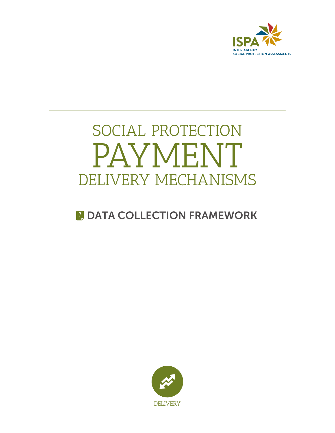

# SOCIAL PROTECTION PAYMENT DELIVERY MECHANISMS

# **B** DATA COLLECTION FRAMEWORK

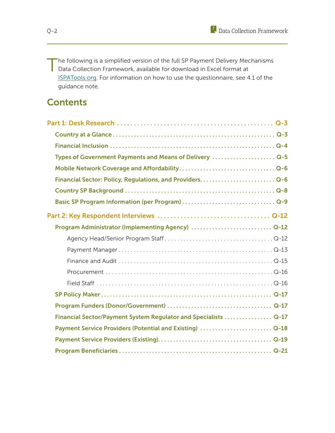The following is a simplified version of the full SP Payment Delivery Mechanisms Data Collection Framework, available for download in Excel format at ISPATools.org. For information on how to use the questionnaire, see 4.1 of the guidance note.

# **Contents**

| Types of Government Payments and Means of Delivery  Q-5        |  |
|----------------------------------------------------------------|--|
|                                                                |  |
|                                                                |  |
|                                                                |  |
|                                                                |  |
|                                                                |  |
| Program Administrator (Implementing Agency)  Q-12              |  |
|                                                                |  |
|                                                                |  |
|                                                                |  |
|                                                                |  |
|                                                                |  |
|                                                                |  |
|                                                                |  |
| Financial Sector/Payment System Regulator and Specialists Q-17 |  |
| Payment Service Providers (Potential and Existing)  Q-18       |  |
|                                                                |  |
|                                                                |  |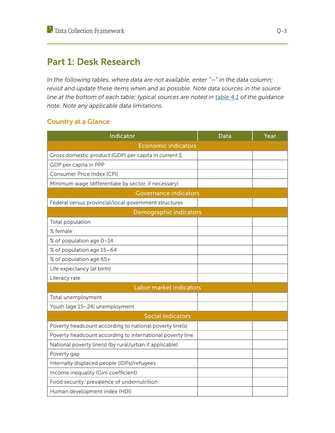# Part 1: Desk Research

*In the following tables, where data are not available, enter "—" in the data column; revisit and update these items when and as possible. Note data sources in the source line at the bottom of each table; typical sources are noted in table 4.1 of the guidance note. Note any applicable data limitations.* 

# Country at a Glance

| Indicator                                                 | Data | Year |
|-----------------------------------------------------------|------|------|
| <b>Economic indicators</b>                                |      |      |
| Gross domestic product (GDP) per capita in current \$     |      |      |
| GDP per capita in PPP                                     |      |      |
| Consumer Price Index (CPI)                                |      |      |
| Minimum wage (differentiate by sector, if necessary)      |      |      |
| <b>Governance indicators</b>                              |      |      |
| Federal versus provincial/local government structures     |      |      |
| Demographic indicators                                    |      |      |
| Total population                                          |      |      |
| % female                                                  |      |      |
| % of population age 0-14                                  |      |      |
| % of population age 15-64                                 |      |      |
| % of population age 65+                                   |      |      |
| Life expectancy (at birth)                                |      |      |
| Literacy rate                                             |      |      |
| Labor market indicators                                   |      |      |
| Total unemployment                                        |      |      |
| Youth (age 15-24) unemployment                            |      |      |
| <b>Social indicators</b>                                  |      |      |
| Poverty headcount according to national poverty line(s)   |      |      |
| Poverty headcount according to international poverty line |      |      |
| National poverty line(s) (by rural/urban if applicable)   |      |      |
| Poverty gap                                               |      |      |
| Internally displaced people (IDPs)/refugees               |      |      |
| Income inequality (Gini coefficient)                      |      |      |
| Food security: prevalence of undernutrition               |      |      |
| Human development index (HDI)                             |      |      |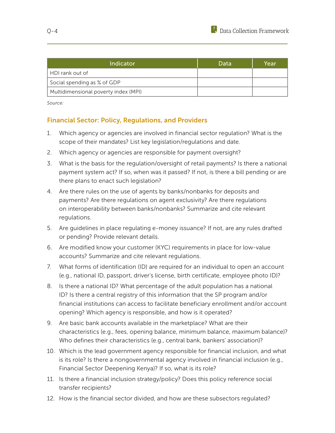| Indicator                            | Data | Year |
|--------------------------------------|------|------|
| HDI rank out of                      |      |      |
| Social spending as % of GDP          |      |      |
| Multidimensional poverty index (MPI) |      |      |

*Source:*

# Financial Sector: Policy, Regulations, and Providers

- 1. Which agency or agencies are involved in financial sector regulation? What is the scope of their mandates? List key legislation/regulations and date.
- 2. Which agency or agencies are responsible for payment oversight?
- 3. What is the basis for the regulation/oversight of retail payments? Is there a national payment system act? If so, when was it passed? If not, is there a bill pending or are there plans to enact such legislation?
- 4. Are there rules on the use of agents by banks/nonbanks for deposits and payments? Are there regulations on agent exclusivity? Are there regulations on interoperability between banks/nonbanks? Summarize and cite relevant regulations.
- 5. Are guidelines in place regulating e-money issuance? If not, are any rules drafted or pending? Provide relevant details.
- 6. Are modified know your customer (KYC) requirements in place for low-value accounts? Summarize and cite relevant regulations.
- 7. What forms of identification (ID) are required for an individual to open an account (e.g., national ID, passport, driver's license, birth certificate, employee photo ID)?
- 8. Is there a national ID? What percentage of the adult population has a national ID? Is there a central registry of this information that the SP program and/or financial institutions can access to facilitate beneficiary enrollment and/or account opening? Which agency is responsible, and how is it operated?
- 9. Are basic bank accounts available in the marketplace? What are their characteristics (e.g., fees, opening balance, minimum balance, maximum balance)? Who defines their characteristics (e.g., central bank, bankers' association)?
- 10. Which is the lead government agency responsible for financial inclusion, and what is its role? Is there a nongovernmental agency involved in financial inclusion (e.g., Financial Sector Deepening Kenya)? If so, what is its role?
- 11. Is there a financial inclusion strategy/policy? Does this policy reference social transfer recipients?
- 12. How is the financial sector divided, and how are these subsectors regulated?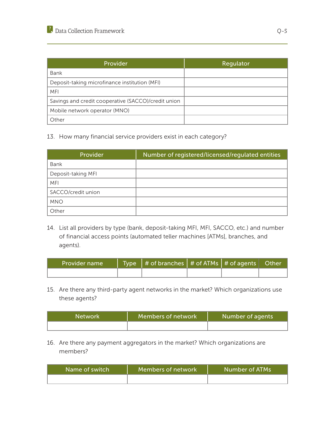| Provider                                            | Regulator |
|-----------------------------------------------------|-----------|
| Bank                                                |           |
| Deposit-taking microfinance institution (MFI)       |           |
| MFI                                                 |           |
| Savings and credit cooperative (SACCO)/credit union |           |
| Mobile network operator (MNO)                       |           |
| Other                                               |           |

13. How many financial service providers exist in each category?

| Provider           | Number of registered/licensed/regulated entities |
|--------------------|--------------------------------------------------|
| Bank               |                                                  |
| Deposit-taking MFI |                                                  |
| <b>MFI</b>         |                                                  |
| SACCO/credit union |                                                  |
| <b>MNO</b>         |                                                  |
| Other              |                                                  |

14. List all providers by type (bank, deposit-taking MFI, MFI, SACCO, etc.) and number of financial access points (automated teller machines [ATMs], branches, and agents).

| <b>Provider name</b> | Type $#$ of branches $#$ of ATMs $#$ of agents Other |  |  |
|----------------------|------------------------------------------------------|--|--|
|                      |                                                      |  |  |

15. Are there any third-party agent networks in the market? Which organizations use these agents?

| <b>Network</b> | Members of network | Number of agents |
|----------------|--------------------|------------------|
|                |                    |                  |

16. Are there any payment aggregators in the market? Which organizations are members?

| Name of switch | Members of network | Number of ATMs |
|----------------|--------------------|----------------|
|                |                    |                |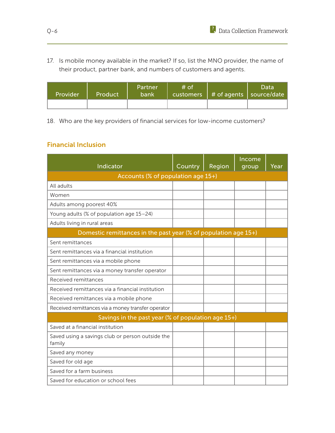17. Is mobile money available in the market? If so, list the MNO provider, the name of their product, partner bank, and numbers of customers and agents.

| Provider | Product | <b>Partner</b><br>bank | $#$ of | customers   # of agents   so <u>urce/date</u> \ | Data |
|----------|---------|------------------------|--------|-------------------------------------------------|------|
|          |         |                        |        |                                                 |      |

18. Who are the key providers of financial services for low-income customers?

# Financial Inclusion

| Indicator                                                       | Country | Region | Income<br>group | Year |
|-----------------------------------------------------------------|---------|--------|-----------------|------|
| Accounts (% of population age 15+)                              |         |        |                 |      |
| All adults                                                      |         |        |                 |      |
| Women                                                           |         |        |                 |      |
| Adults among poorest 40%                                        |         |        |                 |      |
| Young adults (% of population age 15-24)                        |         |        |                 |      |
| Adults living in rural areas                                    |         |        |                 |      |
| Domestic remittances in the past year (% of population age 15+) |         |        |                 |      |
| Sent remittances                                                |         |        |                 |      |
| Sent remittances via a financial institution                    |         |        |                 |      |
| Sent remittances via a mobile phone                             |         |        |                 |      |
| Sent remittances via a money transfer operator                  |         |        |                 |      |
| Received remittances                                            |         |        |                 |      |
| Received remittances via a financial institution                |         |        |                 |      |
| Received remittances via a mobile phone                         |         |        |                 |      |
| Received remittances via a money transfer operator              |         |        |                 |      |
| Savings in the past year (% of population age 15+)              |         |        |                 |      |
| Saved at a financial institution                                |         |        |                 |      |
| Saved using a savings club or person outside the<br>family      |         |        |                 |      |
| Saved any money                                                 |         |        |                 |      |
| Saved for old age                                               |         |        |                 |      |
| Saved for a farm business                                       |         |        |                 |      |
| Saved for education or school fees                              |         |        |                 |      |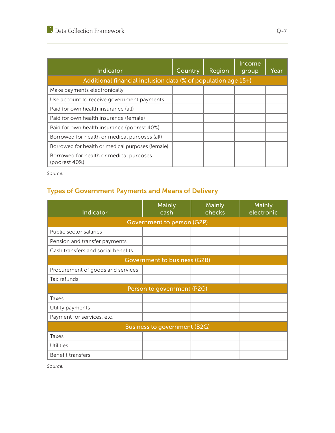| Indicator                                                     | Country | Region | Income<br>group | Year |
|---------------------------------------------------------------|---------|--------|-----------------|------|
| Additional financial inclusion data (% of population age 15+) |         |        |                 |      |
| Make payments electronically                                  |         |        |                 |      |
| Use account to receive government payments                    |         |        |                 |      |
| Paid for own health insurance (all)                           |         |        |                 |      |
| Paid for own health insurance (female)                        |         |        |                 |      |
| Paid for own health insurance (poorest 40%)                   |         |        |                 |      |
| Borrowed for health or medical purposes (all)                 |         |        |                 |      |
| Borrowed for health or medical purposes (female)              |         |        |                 |      |
| Borrowed for health or medical purposes<br>(poorest 40%)      |         |        |                 |      |

*Source:*

# Types of Government Payments and Means of Delivery

| Indicator                           | Mainly<br>cash                      | Mainly<br>checks | Mainly<br>electronic |  |  |  |
|-------------------------------------|-------------------------------------|------------------|----------------------|--|--|--|
|                                     | Government to person (G2P)          |                  |                      |  |  |  |
| Public sector salaries              |                                     |                  |                      |  |  |  |
| Pension and transfer payments       |                                     |                  |                      |  |  |  |
| Cash transfers and social benefits  |                                     |                  |                      |  |  |  |
|                                     | <b>Government to business (G2B)</b> |                  |                      |  |  |  |
| Procurement of goods and services   |                                     |                  |                      |  |  |  |
| Tax refunds                         |                                     |                  |                      |  |  |  |
|                                     | Person to government (P2G)          |                  |                      |  |  |  |
| Taxes                               |                                     |                  |                      |  |  |  |
| Utility payments                    |                                     |                  |                      |  |  |  |
| Payment for services, etc.          |                                     |                  |                      |  |  |  |
| <b>Business to government (B2G)</b> |                                     |                  |                      |  |  |  |
| Taxes                               |                                     |                  |                      |  |  |  |
| <b>Utilities</b>                    |                                     |                  |                      |  |  |  |
| Benefit transfers                   |                                     |                  |                      |  |  |  |

*Source:*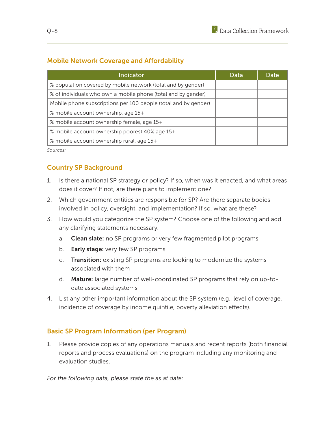# Mobile Network Coverage and Affordability

| <b>Indicator</b>                                                | Data | Date |
|-----------------------------------------------------------------|------|------|
| % population covered by mobile network (total and by gender)    |      |      |
| % of individuals who own a mobile phone (total and by gender)   |      |      |
| Mobile phone subscriptions per 100 people (total and by gender) |      |      |
| % mobile account ownership, age 15+                             |      |      |
| % mobile account ownership female, age 15+                      |      |      |
| % mobile account ownership poorest 40% age 15+                  |      |      |
| % mobile account ownership rural, age 15+                       |      |      |

*Sources:*

# Country SP Background

- 1. Is there a national SP strategy or policy? If so, when was it enacted, and what areas does it cover? If not, are there plans to implement one?
- 2. Which government entities are responsible for SP? Are there separate bodies involved in policy, oversight, and implementation? If so, what are these?
- 3. How would you categorize the SP system? Choose one of the following and add any clarifying statements necessary.
	- a. Clean slate: no SP programs or very few fragmented pilot programs
	- b. **Early stage:** very few SP programs
	- c. Transition: existing SP programs are looking to modernize the systems associated with them
	- d. Mature: large number of well-coordinated SP programs that rely on up-todate associated systems
- 4. List any other important information about the SP system (e.g., level of coverage, incidence of coverage by income quintile, poverty alleviation effects).

# Basic SP Program Information (per Program)

1. Please provide copies of any operations manuals and recent reports (both financial reports and process evaluations) on the program including any monitoring and evaluation studies.

*For the following data, please state the as at date:*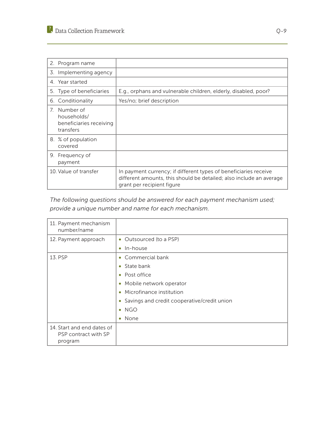| 2. Program name                                                                    |                                                                                                                                                                       |
|------------------------------------------------------------------------------------|-----------------------------------------------------------------------------------------------------------------------------------------------------------------------|
| 3. Implementing agency                                                             |                                                                                                                                                                       |
| 4. Year started                                                                    |                                                                                                                                                                       |
| 5. Type of beneficiaries                                                           | E.g., orphans and vulnerable children, elderly, disabled, poor?                                                                                                       |
| 6. Conditionality                                                                  | Yes/no; brief description                                                                                                                                             |
| 7 <sup>1</sup><br>Number of<br>households/<br>beneficiaries receiving<br>transfers |                                                                                                                                                                       |
| 8. % of population<br>covered                                                      |                                                                                                                                                                       |
| 9. Frequency of<br>payment                                                         |                                                                                                                                                                       |
| 10. Value of transfer                                                              | In payment currency; if different types of beneficiaries receive<br>different amounts, this should be detailed; also include an average<br>grant per recipient figure |

*The following questions should be answered for each payment mechanism used; provide a unique number and name for each mechanism.* 

| 11. Payment mechanism<br>number/name                          |                                                          |
|---------------------------------------------------------------|----------------------------------------------------------|
| 12. Payment approach                                          | • Outsourced (to a PSP)                                  |
|                                                               | In-house<br>۰                                            |
| 13. PSP                                                       | • Commercial bank                                        |
|                                                               | State bank<br>$\bullet$                                  |
|                                                               | Post office<br>$\bullet$                                 |
|                                                               | Mobile network operator<br>$\bullet$                     |
|                                                               | Microfinance institution<br>$\bullet$                    |
|                                                               | Savings and credit cooperative/credit union<br>$\bullet$ |
|                                                               | $\bullet$ NGO                                            |
|                                                               | None<br>$\bullet$                                        |
| 14. Start and end dates of<br>PSP contract with SP<br>program |                                                          |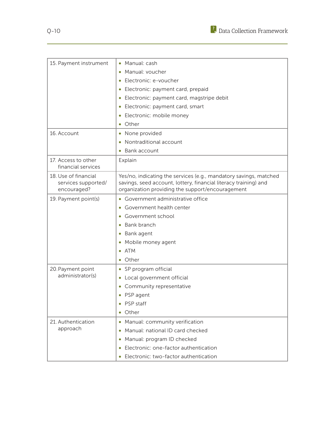

| 15. Payment instrument                                     | Manual: cash                                                                                                                                                                              |
|------------------------------------------------------------|-------------------------------------------------------------------------------------------------------------------------------------------------------------------------------------------|
|                                                            | Manual: voucher                                                                                                                                                                           |
|                                                            | Electronic: e-voucher                                                                                                                                                                     |
|                                                            | Electronic: payment card, prepaid                                                                                                                                                         |
|                                                            | Electronic: payment card, magstripe debit<br>$\bullet$                                                                                                                                    |
|                                                            | Electronic: payment card, smart<br>$\bullet$                                                                                                                                              |
|                                                            | Electronic: mobile money<br>$\bullet$                                                                                                                                                     |
|                                                            | Other                                                                                                                                                                                     |
| 16. Account                                                | None provided<br>$\bullet$                                                                                                                                                                |
|                                                            | Nontraditional account                                                                                                                                                                    |
|                                                            | Bank account                                                                                                                                                                              |
| 17. Access to other<br>financial services                  | Explain                                                                                                                                                                                   |
| 18. Use of financial<br>services supported/<br>encouraged? | Yes/no, indicating the services (e.g., mandatory savings, matched<br>savings, seed account, lottery, financial literacy training) and<br>organization providing the support/encouragement |
| 19. Payment point(s)                                       | • Government administrative office                                                                                                                                                        |
|                                                            | Government health center                                                                                                                                                                  |
|                                                            | Government school                                                                                                                                                                         |
|                                                            | Bank branch                                                                                                                                                                               |
|                                                            | Bank agent                                                                                                                                                                                |
|                                                            | Mobile money agent                                                                                                                                                                        |
|                                                            | ATM<br>۰                                                                                                                                                                                  |
|                                                            | Other                                                                                                                                                                                     |
| 20. Payment point<br>administrator(s)                      | SP program official                                                                                                                                                                       |
|                                                            | Local government official<br>$\bullet$                                                                                                                                                    |
|                                                            | Community representative                                                                                                                                                                  |
|                                                            | PSP agent                                                                                                                                                                                 |
|                                                            | PSP staff<br>$\bullet$                                                                                                                                                                    |
|                                                            | Other<br>$\bullet$                                                                                                                                                                        |
| 21. Authentication<br>approach                             | Manual: community verification<br>$\bullet$                                                                                                                                               |
|                                                            | Manual: national ID card checked<br>$\bullet$                                                                                                                                             |
|                                                            | Manual: program ID checked<br>$\bullet$                                                                                                                                                   |
|                                                            | Electronic: one-factor authentication<br>$\bullet$                                                                                                                                        |
|                                                            | Electronic: two-factor authentication<br>$\bullet$                                                                                                                                        |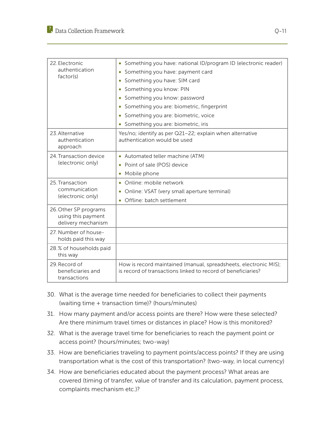| 22. Electronic<br>authentication<br>factor(s)                     | Something you have: national ID/program ID (electronic reader)                                                                   |
|-------------------------------------------------------------------|----------------------------------------------------------------------------------------------------------------------------------|
|                                                                   | Something you have: payment card<br>$\bullet$                                                                                    |
|                                                                   | Something you have: SIM card<br>$\bullet$                                                                                        |
|                                                                   | Something you know: PIN<br>$\bullet$                                                                                             |
|                                                                   | Something you know: password                                                                                                     |
|                                                                   | Something you are: biometric, fingerprint                                                                                        |
|                                                                   | Something you are: biometric, voice<br>$\bullet$                                                                                 |
|                                                                   | Something you are: biometric, iris                                                                                               |
| 23. Alternative<br>authentication<br>approach                     | Yes/no; identify as per Q21-22; explain when alternative<br>authentication would be used                                         |
| 24. Transaction device<br>(electronic only)                       | • Automated teller machine (ATM)                                                                                                 |
|                                                                   | Point of sale (POS) device<br>۰                                                                                                  |
|                                                                   | Mobile phone<br>$\bullet$                                                                                                        |
| 25. Transaction<br>communication<br>(electronic only)             | Online: mobile network<br>۰                                                                                                      |
|                                                                   | Online: VSAT (very small aperture terminal)<br>$\bullet$                                                                         |
|                                                                   | Offline: batch settlement<br>$\bullet$                                                                                           |
| 26. Other SP programs<br>using this payment<br>delivery mechanism |                                                                                                                                  |
| 27. Number of house-<br>holds paid this way                       |                                                                                                                                  |
| 28.% of households paid<br>this way                               |                                                                                                                                  |
| 29. Record of<br>beneficiaries and<br>transactions                | How is record maintained (manual, spreadsheets, electronic MIS);<br>is record of transactions linked to record of beneficiaries? |

- 30. What is the average time needed for beneficiaries to collect their payments (waiting time + transaction time)? (hours/minutes)
- 31. How many payment and/or access points are there? How were these selected? Are there minimum travel times or distances in place? How is this monitored?
- 32. What is the average travel time for beneficiaries to reach the payment point or access point? (hours/minutes; two-way)
- 33. How are beneficiaries traveling to payment points/access points? If they are using transportation what is the cost of this transportation? (two-way, in local currency)
- 34. How are beneficiaries educated about the payment process? What areas are covered (timing of transfer, value of transfer and its calculation, payment process, complaints mechanism etc.)?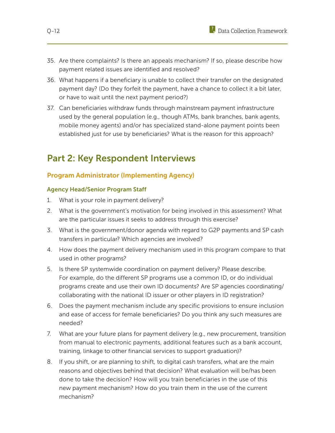- 35. Are there complaints? Is there an appeals mechanism? If so, please describe how payment related issues are identified and resolved?
- 36. What happens if a beneficiary is unable to collect their transfer on the designated payment day? (Do they forfeit the payment, have a chance to collect it a bit later, or have to wait until the next payment period?)
- 37. Can beneficiaries withdraw funds through mainstream payment infrastructure used by the general population (e.g., though ATMs, bank branches, bank agents, mobile money agents) and/or has specialized stand-alone payment points been established just for use by beneficiaries? What is the reason for this approach?

# Part 2: Key Respondent Interviews

# Program Administrator (Implementing Agency)

#### Agency Head/Senior Program Staff

- 1. What is your role in payment delivery?
- 2. What is the government's motivation for being involved in this assessment? What are the particular issues it seeks to address through this exercise?
- 3. What is the government/donor agenda with regard to G2P payments and SP cash transfers in particular? Which agencies are involved?
- 4. How does the payment delivery mechanism used in this program compare to that used in other programs?
- 5. Is there SP systemwide coordination on payment delivery? Please describe. For example, do the different SP programs use a common ID, or do individual programs create and use their own ID documents? Are SP agencies coordinating/ collaborating with the national ID issuer or other players in ID registration?
- 6. Does the payment mechanism include any specific provisions to ensure inclusion and ease of access for female beneficiaries? Do you think any such measures are needed?
- 7. What are your future plans for payment delivery (e.g., new procurement, transition from manual to electronic payments, additional features such as a bank account, training, linkage to other financial services to support graduation)?
- 8. If you shift, or are planning to shift, to digital cash transfers, what are the main reasons and objectives behind that decision? What evaluation will be/has been done to take the decision? How will you train beneficiaries in the use of this new payment mechanism? How do you train them in the use of the current mechanism?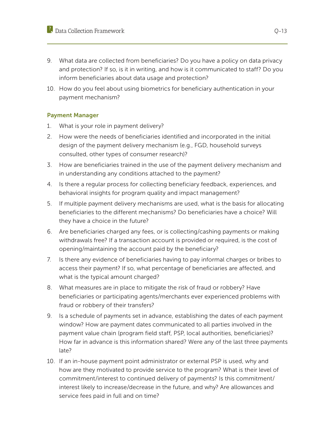- 9. What data are collected from beneficiaries? Do you have a policy on data privacy and protection? If so, is it in writing, and how is it communicated to staff? Do you inform beneficiaries about data usage and protection?
- 10. How do you feel about using biometrics for beneficiary authentication in your payment mechanism?

#### Payment Manager

- 1. What is your role in payment delivery?
- 2. How were the needs of beneficiaries identified and incorporated in the initial design of the payment delivery mechanism (e.g., FGD, household surveys consulted, other types of consumer research)?
- 3. How are beneficiaries trained in the use of the payment delivery mechanism and in understanding any conditions attached to the payment?
- 4. Is there a regular process for collecting beneficiary feedback, experiences, and behavioral insights for program quality and impact management?
- 5. If multiple payment delivery mechanisms are used, what is the basis for allocating beneficiaries to the different mechanisms? Do beneficiaries have a choice? Will they have a choice in the future?
- 6. Are beneficiaries charged any fees, or is collecting/cashing payments or making withdrawals free? If a transaction account is provided or required, is the cost of opening/maintaining the account paid by the beneficiary?
- 7. Is there any evidence of beneficiaries having to pay informal charges or bribes to access their payment? If so, what percentage of beneficiaries are affected, and what is the typical amount charged?
- 8. What measures are in place to mitigate the risk of fraud or robbery? Have beneficiaries or participating agents/merchants ever experienced problems with fraud or robbery of their transfers?
- 9. Is a schedule of payments set in advance, establishing the dates of each payment window? How are payment dates communicated to all parties involved in the payment value chain (program field staff, PSP, local authorities, beneficiaries)? How far in advance is this information shared? Were any of the last three payments late?
- 10. If an in-house payment point administrator or external PSP is used, why and how are they motivated to provide service to the program? What is their level of commitment/interest to continued delivery of payments? Is this commitment/ interest likely to increase/decrease in the future, and why? Are allowances and service fees paid in full and on time?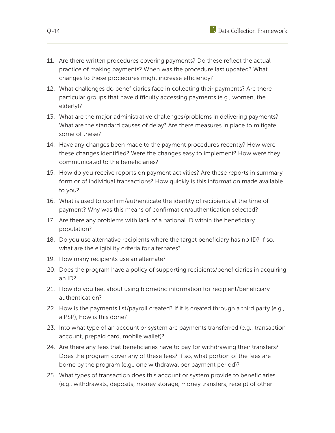- 11. Are there written procedures covering payments? Do these reflect the actual practice of making payments? When was the procedure last updated? What changes to these procedures might increase efficiency?
- 12. What challenges do beneficiaries face in collecting their payments? Are there particular groups that have difficulty accessing payments (e.g., women, the elderly)?
- 13. What are the major administrative challenges/problems in delivering payments? What are the standard causes of delay? Are there measures in place to mitigate some of these?
- 14. Have any changes been made to the payment procedures recently? How were these changes identified? Were the changes easy to implement? How were they communicated to the beneficiaries?
- 15. How do you receive reports on payment activities? Are these reports in summary form or of individual transactions? How quickly is this information made available to you?
- 16. What is used to confirm/authenticate the identity of recipients at the time of payment? Why was this means of confirmation/authentication selected?
- 17. Are there any problems with lack of a national ID within the beneficiary population?
- 18. Do you use alternative recipients where the target beneficiary has no ID? If so, what are the eligibility criteria for alternates?
- 19. How many recipients use an alternate?
- 20. Does the program have a policy of supporting recipients/beneficiaries in acquiring an ID?
- 21. How do you feel about using biometric information for recipient/beneficiary authentication?
- 22. How is the payments list/payroll created? If it is created through a third party (e.g., a PSP), how is this done?
- 23. Into what type of an account or system are payments transferred (e.g., transaction account, prepaid card, mobile wallet)?
- 24. Are there any fees that beneficiaries have to pay for withdrawing their transfers? Does the program cover any of these fees? If so, what portion of the fees are borne by the program (e.g., one withdrawal per payment period)?
- 25. What types of transaction does this account or system provide to beneficiaries (e.g., withdrawals, deposits, money storage, money transfers, receipt of other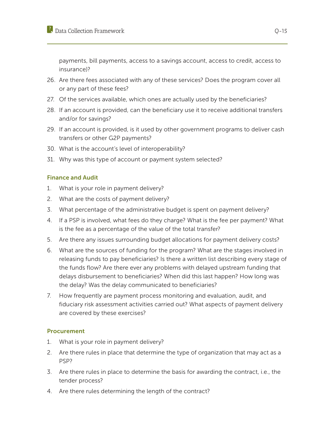payments, bill payments, access to a savings account, access to credit, access to insurance)?

- 26. Are there fees associated with any of these services? Does the program cover all or any part of these fees?
- 27. Of the services available, which ones are actually used by the beneficiaries?
- 28. If an account is provided, can the beneficiary use it to receive additional transfers and/or for savings?
- 29. If an account is provided, is it used by other government programs to deliver cash transfers or other G2P payments?
- 30. What is the account's level of interoperability?
- 31. Why was this type of account or payment system selected?

#### Finance and Audit

- 1. What is your role in payment delivery?
- 2. What are the costs of payment delivery?
- 3. What percentage of the administrative budget is spent on payment delivery?
- 4. If a PSP is involved, what fees do they charge? What is the fee per payment? What is the fee as a percentage of the value of the total transfer?
- 5. Are there any issues surrounding budget allocations for payment delivery costs?
- 6. What are the sources of funding for the program? What are the stages involved in releasing funds to pay beneficiaries? Is there a written list describing every stage of the funds flow? Are there ever any problems with delayed upstream funding that delays disbursement to beneficiaries? When did this last happen? How long was the delay? Was the delay communicated to beneficiaries?
- 7. How frequently are payment process monitoring and evaluation, audit, and fiduciary risk assessment activities carried out? What aspects of payment delivery are covered by these exercises?

#### **Procurement**

- 1. What is your role in payment delivery?
- 2. Are there rules in place that determine the type of organization that may act as a PSP?
- 3. Are there rules in place to determine the basis for awarding the contract, i.e., the tender process?
- 4. Are there rules determining the length of the contract?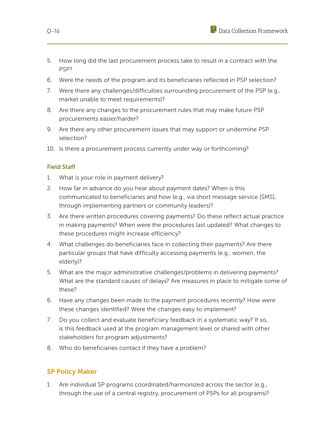- 5. How long did the last procurement process take to result in a contract with the PSP?
- 6. Were the needs of the program and its beneficiaries reflected in PSP selection?
- 7. Were there any challenges/difficulties surrounding procurement of the PSP (e.g., market unable to meet requirements)?
- 8. Are there any changes to the procurement rules that may make future PSP procurements easier/harder?
- 9. Are there any other procurement issues that may support or undermine PSP selection?
- 10. Is there a procurement process currently under way or forthcoming?

#### Field Staff

- 1. What is your role in payment delivery?
- 2. How far in advance do you hear about payment dates? When is this communicated to beneficiaries and how (e.g., via short message service [SMS], through implementing partners or community leaders)?
- 3. Are there written procedures covering payments? Do these reflect actual practice in making payments? When were the procedures last updated? What changes to these procedures might increase efficiency?
- 4. What challenges do beneficiaries face in collecting their payments? Are there particular groups that have difficulty accessing payments (e.g., women, the elderly)?
- 5. What are the major administrative challenges/problems in delivering payments? What are the standard causes of delays? Are measures in place to mitigate some of these?
- 6. Have any changes been made to the payment procedures recently? How were these changes identified? Were the changes easy to implement?
- 7. Do you collect and evaluate beneficiary feedback in a systematic way? If so, is this feedback used at the program management level or shared with other stakeholders for program adjustments?
- 8. Who do beneficiaries contact if they have a problem?

# SP Policy Maker

1. Are individual SP programs coordinated/harmonized across the sector (e.g., through the use of a central registry, procurement of PSPs for all programs)?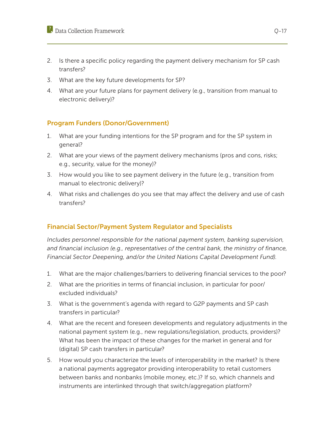- 2. Is there a specific policy regarding the payment delivery mechanism for SP cash transfers?
- 3. What are the key future developments for SP?
- 4. What are your future plans for payment delivery (e.g., transition from manual to electronic delivery)?

# Program Funders (Donor/Government)

- 1. What are your funding intentions for the SP program and for the SP system in general?
- 2. What are your views of the payment delivery mechanisms (pros and cons, risks; e.g., security, value for the money)?
- 3. How would you like to see payment delivery in the future (e.g., transition from manual to electronic delivery)?
- 4. What risks and challenges do you see that may affect the delivery and use of cash transfers?

# Financial Sector/Payment System Regulator and Specialists

*Includes personnel responsible for the national payment system, banking supervision, and financial inclusion (e.g., representatives of the central bank, the ministry of finance, Financial Sector Deepening, and/or the United Nations Capital Development Fund).*

- 1. What are the major challenges/barriers to delivering financial services to the poor?
- 2. What are the priorities in terms of financial inclusion, in particular for poor/ excluded individuals?
- 3. What is the government's agenda with regard to G2P payments and SP cash transfers in particular?
- 4. What are the recent and foreseen developments and regulatory adjustments in the national payment system (e.g., new regulations/legislation, products, providers)? What has been the impact of these changes for the market in general and for (digital) SP cash transfers in particular?
- 5. How would you characterize the levels of interoperability in the market? Is there a national payments aggregator providing interoperability to retail customers between banks and nonbanks (mobile money, etc.)? If so, which channels and instruments are interlinked through that switch/aggregation platform?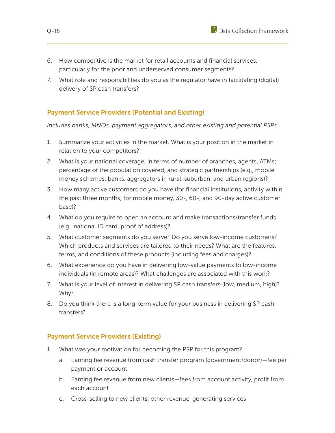- 6. How competitive is the market for retail accounts and financial services, particularly for the poor and underserved consumer segments?
- 7. What role and responsibilities do you as the regulator have in facilitating (digital) delivery of SP cash transfers?

# Payment Service Providers (Potential and Existing)

*Includes banks, MNOs, payment aggregators, and other existing and potential PSPs.*

- 1. Summarize your activities in the market. What is your position in the market in relation to your competitors?
- 2. What is your national coverage, in terms of number of branches, agents, ATMs; percentage of the population covered; and strategic partnerships (e.g., mobile money schemes, banks, aggregators in rural, suburban, and urban regions)?
- 3. How many active customers do you have (for financial institutions, activity within the past three months; for mobile money, 30-, 60-, and 90-day active customer base)?
- 4. What do you require to open an account and make transactions/transfer funds (e.g., national ID card, proof of address)?
- 5. What customer segments do you serve? Do you serve low-income customers? Which products and services are tailored to their needs? What are the features, terms, and conditions of these products (including fees and charges)?
- 6. What experience do you have in delivering low-value payments to low-income individuals (in remote areas)? What challenges are associated with this work?
- 7. What is your level of interest in delivering SP cash transfers (low, medium, high)? Why?
- 8. Do you think there is a long-term value for your business in delivering SP cash transfers?

# Payment Service Providers (Existing)

- 1. What was your motivation for becoming the PSP for this program?
	- a. Earning fee revenue from cash transfer program (government/donor)—fee per payment or account
	- b. Earning fee revenue from new clients—fees from account activity, profit from each account
	- c. Cross-selling to new clients, other revenue-generating services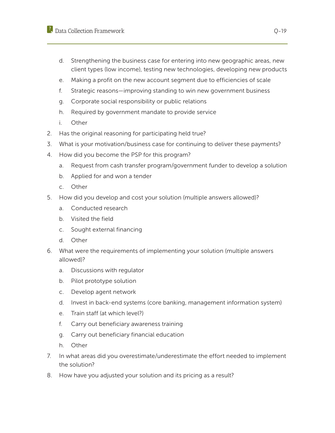# $\mathbb{R}$  Data Collection Framework  $\mathbb{Q}$ -19

- d. Strengthening the business case for entering into new geographic areas, new client types (low income), testing new technologies, developing new products
- e. Making a profit on the new account segment due to efficiencies of scale
- f. Strategic reasons—improving standing to win new government business
- g. Corporate social responsibility or public relations
- h. Required by government mandate to provide service
- i. Other
- 2. Has the original reasoning for participating held true?
- 3. What is your motivation/business case for continuing to deliver these payments?
- 4. How did you become the PSP for this program?
	- a. Request from cash transfer program/government funder to develop a solution
	- b. Applied for and won a tender
	- c. Other
- 5. How did you develop and cost your solution (multiple answers allowed)?
	- a. Conducted research
	- b. Visited the field
	- c. Sought external financing
	- d. Other
- 6. What were the requirements of implementing your solution (multiple answers allowed)?
	- a. Discussions with regulator
	- b. Pilot prototype solution
	- c. Develop agent network
	- d. Invest in back-end systems (core banking, management information system)
	- e. Train staff (at which level?)
	- f. Carry out beneficiary awareness training
	- g. Carry out beneficiary financial education
	- h. Other
- 7. In what areas did you overestimate/underestimate the effort needed to implement the solution?
- 8. How have you adjusted your solution and its pricing as a result?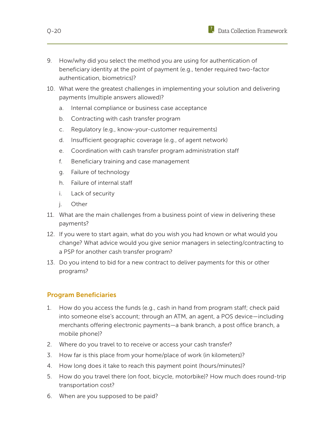

- 9. How/why did you select the method you are using for authentication of beneficiary identity at the point of payment (e.g., tender required two-factor authentication, biometrics)?
- 10. What were the greatest challenges in implementing your solution and delivering payments (multiple answers allowed)?
	- a. Internal compliance or business case acceptance
	- b. Contracting with cash transfer program
	- c. Regulatory (e.g., know-your-customer requirements)
	- d. Insufficient geographic coverage (e.g., of agent network)
	- e. Coordination with cash transfer program administration staff
	- f. Beneficiary training and case management
	- g. Failure of technology
	- h. Failure of internal staff
	- i. Lack of security
	- j. Other
- 11. What are the main challenges from a business point of view in delivering these payments?
- 12. If you were to start again, what do you wish you had known or what would you change? What advice would you give senior managers in selecting/contracting to a PSP for another cash transfer program?
- 13. Do you intend to bid for a new contract to deliver payments for this or other programs?

#### Program Beneficiaries

- 1. How do you access the funds (e.g., cash in hand from program staff; check paid into someone else's account; through an ATM, an agent, a POS device—including merchants offering electronic payments—a bank branch, a post office branch, a mobile phone)?
- 2. Where do you travel to to receive or access your cash transfer?
- 3. How far is this place from your home/place of work (in kilometers)?
- 4. How long does it take to reach this payment point (hours/minutes)?
- 5. How do you travel there (on foot, bicycle, motorbike)? How much does round-trip transportation cost?
- 6. When are you supposed to be paid?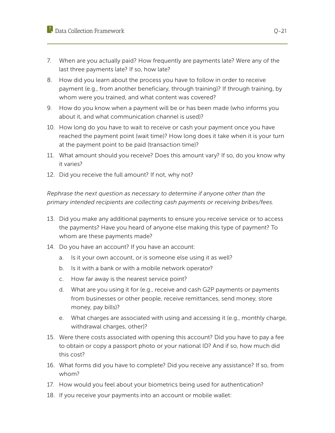- 7. When are you actually paid? How frequently are payments late? Were any of the last three payments late? If so, how late?
- 8. How did you learn about the process you have to follow in order to receive payment (e.g., from another beneficiary, through training)? If through training, by whom were you trained, and what content was covered?
- 9. How do you know when a payment will be or has been made (who informs you about it, and what communication channel is used)?
- 10. How long do you have to wait to receive or cash your payment once you have reached the payment point (wait time)? How long does it take when it is your turn at the payment point to be paid (transaction time)?
- 11. What amount should you receive? Does this amount vary? If so, do you know why it varies?
- 12. Did you receive the full amount? If not, why not?

*Rephrase the next question as necessary to determine if anyone other than the primary intended recipients are collecting cash payments or receiving bribes/fees.*

- 13. Did you make any additional payments to ensure you receive service or to access the payments? Have you heard of anyone else making this type of payment? To whom are these payments made?
- 14. Do you have an account? If you have an account:
	- a. Is it your own account, or is someone else using it as well?
	- b. Is it with a bank or with a mobile network operator?
	- c. How far away is the nearest service point?
	- d. What are you using it for (e.g., receive and cash G2P payments or payments from businesses or other people, receive remittances, send money, store money, pay bills)?
	- e. What charges are associated with using and accessing it (e.g., monthly charge, withdrawal charges, other)?
- 15. Were there costs associated with opening this account? Did you have to pay a fee to obtain or copy a passport photo or your national ID? And if so, how much did this cost?
- 16. What forms did you have to complete? Did you receive any assistance? If so, from whom?
- 17. How would you feel about your biometrics being used for authentication?
- 18. If you receive your payments into an account or mobile wallet: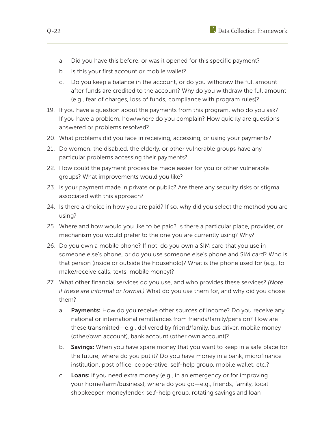- a. Did you have this before, or was it opened for this specific payment?
- b. Is this your first account or mobile wallet?
- c. Do you keep a balance in the account, or do you withdraw the full amount after funds are credited to the account? Why do you withdraw the full amount (e.g., fear of charges, loss of funds, compliance with program rules)?
- 19. If you have a question about the payments from this program, who do you ask? If you have a problem, how/where do you complain? How quickly are questions answered or problems resolved?
- 20. What problems did you face in receiving, accessing, or using your payments?
- 21. Do women, the disabled, the elderly, or other vulnerable groups have any particular problems accessing their payments?
- 22. How could the payment process be made easier for you or other vulnerable groups? What improvements would you like?
- 23. Is your payment made in private or public? Are there any security risks or stigma associated with this approach?
- 24. Is there a choice in how you are paid? If so, why did you select the method you are using?
- 25. Where and how would you like to be paid? Is there a particular place, provider, or mechanism you would prefer to the one you are currently using? Why?
- 26. Do you own a mobile phone? If not, do you own a SIM card that you use in someone else's phone, or do you use someone else's phone and SIM card? Who is that person (inside or outside the household)? What is the phone used for (e.g., to make/receive calls, texts, mobile money)?
- 27. What other financial services do you use, and who provides these services? *(Note if these are informal or formal.)* What do you use them for, and why did you chose them?
	- a. Payments: How do you receive other sources of income? Do you receive any national or international remittances from friends/family/pension? How are these transmitted—e.g., delivered by friend/family, bus driver, mobile money (other/own account), bank account (other own account)?
	- b. Savings: When you have spare money that you want to keep in a safe place for the future, where do you put it? Do you have money in a bank, microfinance institution, post office, cooperative, self-help group, mobile wallet, etc.?
	- c. Loans: If you need extra money (e.g., in an emergency or for improving your home/farm/business), where do you go—e.g., friends, family, local shopkeeper, moneylender, self-help group, rotating savings and loan